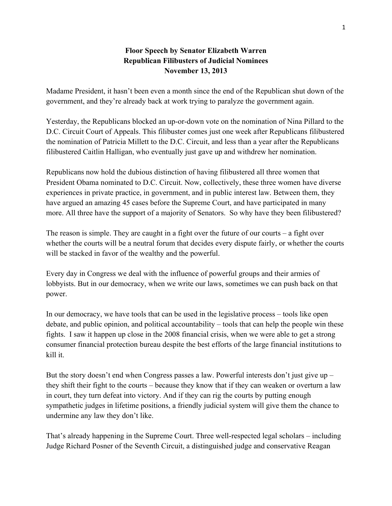## **Floor Speech by Senator Elizabeth Warren Republican Filibusters of Judicial Nominees November 13, 2013**

Madame President, it hasn't been even a month since the end of the Republican shut down of the government, and they're already back at work trying to paralyze the government again.

Yesterday, the Republicans blocked an up-or-down vote on the nomination of Nina Pillard to the D.C. Circuit Court of Appeals. This filibuster comes just one week after Republicans filibustered the nomination of Patricia Millett to the D.C. Circuit, and less than a year after the Republicans filibustered Caitlin Halligan, who eventually just gave up and withdrew her nomination.

Republicans now hold the dubious distinction of having filibustered all three women that President Obama nominated to D.C. Circuit. Now, collectively, these three women have diverse experiences in private practice, in government, and in public interest law. Between them, they have argued an amazing 45 cases before the Supreme Court, and have participated in many more. All three have the support of a majority of Senators. So why have they been filibustered?

The reason is simple. They are caught in a fight over the future of our courts – a fight over whether the courts will be a neutral forum that decides every dispute fairly, or whether the courts will be stacked in favor of the wealthy and the powerful.

Every day in Congress we deal with the influence of powerful groups and their armies of lobbyists. But in our democracy, when we write our laws, sometimes we can push back on that power.

In our democracy, we have tools that can be used in the legislative process – tools like open debate, and public opinion, and political accountability – tools that can help the people win these fights. I saw it happen up close in the 2008 financial crisis, when we were able to get a strong consumer financial protection bureau despite the best efforts of the large financial institutions to kill it.

But the story doesn't end when Congress passes a law. Powerful interests don't just give up – they shift their fight to the courts – because they know that if they can weaken or overturn a law in court, they turn defeat into victory. And if they can rig the courts by putting enough sympathetic judges in lifetime positions, a friendly judicial system will give them the chance to undermine any law they don't like.

That's already happening in the Supreme Court. Three well-respected legal scholars – including Judge Richard Posner of the Seventh Circuit, a distinguished judge and conservative Reagan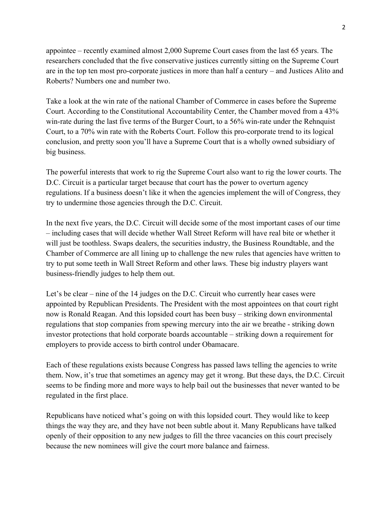appointee – recently examined almost 2,000 Supreme Court cases from the last 65 years. The researchers concluded that the five conservative justices currently sitting on the Supreme Court are in the top ten most pro-corporate justices in more than half a century – and Justices Alito and Roberts? Numbers one and number two.

Take a look at the win rate of the national Chamber of Commerce in cases before the Supreme Court. According to the Constitutional Accountability Center, the Chamber moved from a 43% win-rate during the last five terms of the Burger Court, to a 56% win-rate under the Rehnquist Court, to a 70% win rate with the Roberts Court. Follow this pro-corporate trend to its logical conclusion, and pretty soon you'll have a Supreme Court that is a wholly owned subsidiary of big business.

The powerful interests that work to rig the Supreme Court also want to rig the lower courts. The D.C. Circuit is a particular target because that court has the power to overturn agency regulations. If a business doesn't like it when the agencies implement the will of Congress, they try to undermine those agencies through the D.C. Circuit.

In the next five years, the D.C. Circuit will decide some of the most important cases of our time – including cases that will decide whether Wall Street Reform will have real bite or whether it will just be toothless. Swaps dealers, the securities industry, the Business Roundtable, and the Chamber of Commerce are all lining up to challenge the new rules that agencies have written to try to put some teeth in Wall Street Reform and other laws. These big industry players want business-friendly judges to help them out.

Let's be clear – nine of the 14 judges on the D.C. Circuit who currently hear cases were appointed by Republican Presidents. The President with the most appointees on that court right now is Ronald Reagan. And this lopsided court has been busy – striking down environmental regulations that stop companies from spewing mercury into the air we breathe - striking down investor protections that hold corporate boards accountable – striking down a requirement for employers to provide access to birth control under Obamacare.

Each of these regulations exists because Congress has passed laws telling the agencies to write them. Now, it's true that sometimes an agency may get it wrong. But these days, the D.C. Circuit seems to be finding more and more ways to help bail out the businesses that never wanted to be regulated in the first place.

Republicans have noticed what's going on with this lopsided court. They would like to keep things the way they are, and they have not been subtle about it. Many Republicans have talked openly of their opposition to any new judges to fill the three vacancies on this court precisely because the new nominees will give the court more balance and fairness.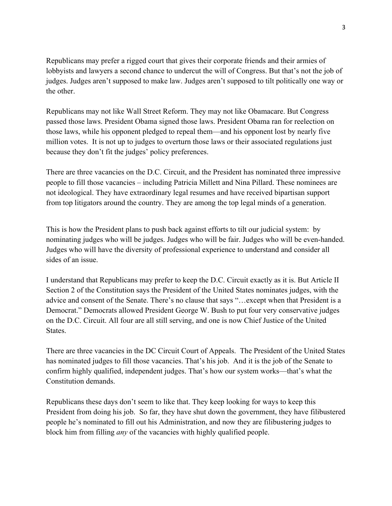Republicans may prefer a rigged court that gives their corporate friends and their armies of lobbyists and lawyers a second chance to undercut the will of Congress. But that's not the job of judges. Judges aren't supposed to make law. Judges aren't supposed to tilt politically one way or the other.

Republicans may not like Wall Street Reform. They may not like Obamacare. But Congress passed those laws. President Obama signed those laws. President Obama ran for reelection on those laws, while his opponent pledged to repeal them—and his opponent lost by nearly five million votes. It is not up to judges to overturn those laws or their associated regulations just because they don't fit the judges' policy preferences.

There are three vacancies on the D.C. Circuit, and the President has nominated three impressive people to fill those vacancies – including Patricia Millett and Nina Pillard. These nominees are not ideological. They have extraordinary legal resumes and have received bipartisan support from top litigators around the country. They are among the top legal minds of a generation.

This is how the President plans to push back against efforts to tilt our judicial system: by nominating judges who will be judges. Judges who will be fair. Judges who will be even-handed. Judges who will have the diversity of professional experience to understand and consider all sides of an issue.

I understand that Republicans may prefer to keep the D.C. Circuit exactly as it is. But Article II Section 2 of the Constitution says the President of the United States nominates judges, with the advice and consent of the Senate. There's no clause that says "…except when that President is a Democrat." Democrats allowed President George W. Bush to put four very conservative judges on the D.C. Circuit. All four are all still serving, and one is now Chief Justice of the United States.

There are three vacancies in the DC Circuit Court of Appeals. The President of the United States has nominated judges to fill those vacancies. That's his job. And it is the job of the Senate to confirm highly qualified, independent judges. That's how our system works—that's what the Constitution demands.

Republicans these days don't seem to like that. They keep looking for ways to keep this President from doing his job. So far, they have shut down the government, they have filibustered people he's nominated to fill out his Administration, and now they are filibustering judges to block him from filling *any* of the vacancies with highly qualified people.